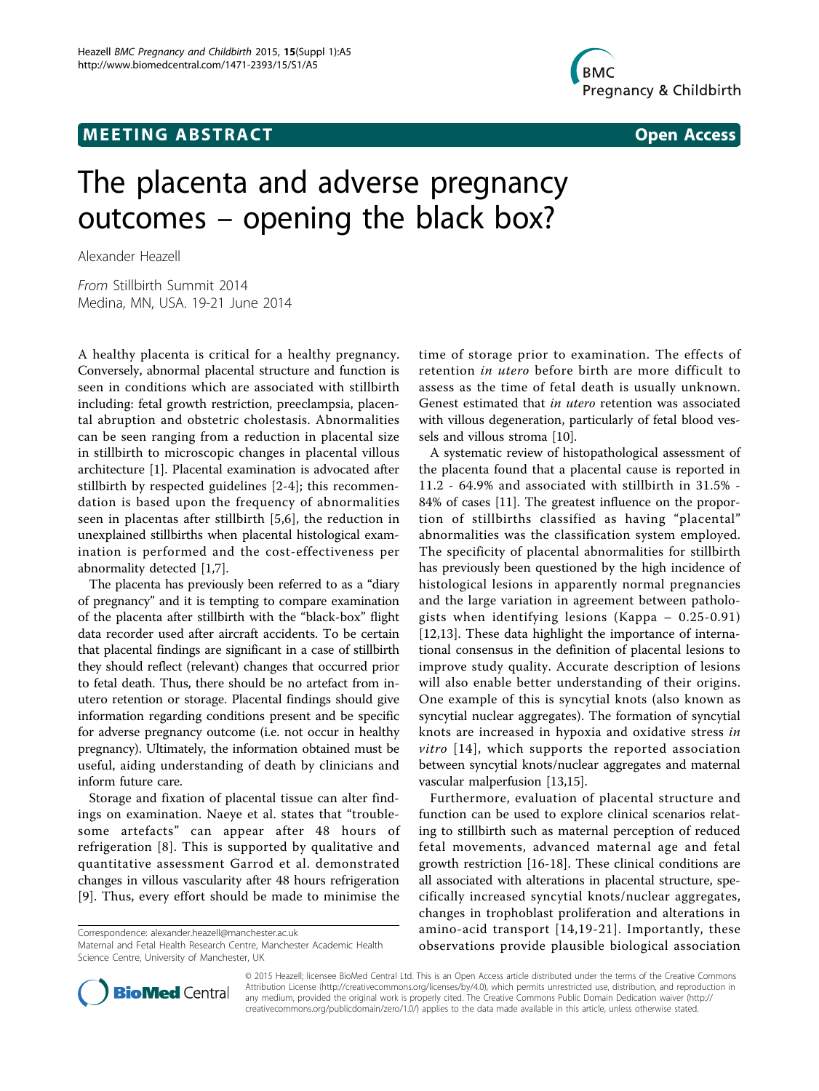## **MEETING ABSTRACT ACCESS**



# The placenta and adverse pregnancy outcomes – opening the black box?

Alexander Heazell

From Stillbirth Summit 2014 Medina, MN, USA. 19-21 June 2014

A healthy placenta is critical for a healthy pregnancy. Conversely, abnormal placental structure and function is seen in conditions which are associated with stillbirth including: fetal growth restriction, preeclampsia, placental abruption and obstetric cholestasis. Abnormalities can be seen ranging from a reduction in placental size in stillbirth to microscopic changes in placental villous architecture [[1\]](#page-1-0). Placental examination is advocated after stillbirth by respected guidelines [[2-4\]](#page-1-0); this recommendation is based upon the frequency of abnormalities seen in placentas after stillbirth [[5,6](#page-1-0)], the reduction in unexplained stillbirths when placental histological examination is performed and the cost-effectiveness per abnormality detected [\[1,7](#page-1-0)].

The placenta has previously been referred to as a "diary of pregnancy" and it is tempting to compare examination of the placenta after stillbirth with the "black-box" flight data recorder used after aircraft accidents. To be certain that placental findings are significant in a case of stillbirth they should reflect (relevant) changes that occurred prior to fetal death. Thus, there should be no artefact from inutero retention or storage. Placental findings should give information regarding conditions present and be specific for adverse pregnancy outcome (i.e. not occur in healthy pregnancy). Ultimately, the information obtained must be useful, aiding understanding of death by clinicians and inform future care.

Storage and fixation of placental tissue can alter findings on examination. Naeye et al. states that "troublesome artefacts" can appear after 48 hours of refrigeration [[8\]](#page-1-0). This is supported by qualitative and quantitative assessment Garrod et al. demonstrated changes in villous vascularity after 48 hours refrigeration [[9](#page-1-0)]. Thus, every effort should be made to minimise the

Correspondence: [alexander.heazell@manchester.ac.uk](mailto:alexander.heazell@manchester.ac.uk)

Maternal and Fetal Health Research Centre, Manchester Academic Health Science Centre, University of Manchester, UK

time of storage prior to examination. The effects of retention in utero before birth are more difficult to assess as the time of fetal death is usually unknown. Genest estimated that in utero retention was associated with villous degeneration, particularly of fetal blood vessels and villous stroma [[10](#page-1-0)].

A systematic review of histopathological assessment of the placenta found that a placental cause is reported in 11.2 - 64.9% and associated with stillbirth in 31.5% - 84% of cases [\[11\]](#page-1-0). The greatest influence on the proportion of stillbirths classified as having "placental" abnormalities was the classification system employed. The specificity of placental abnormalities for stillbirth has previously been questioned by the high incidence of histological lesions in apparently normal pregnancies and the large variation in agreement between pathologists when identifying lesions (Kappa – 0.25-0.91) [[12,13\]](#page-1-0). These data highlight the importance of international consensus in the definition of placental lesions to improve study quality. Accurate description of lesions will also enable better understanding of their origins. One example of this is syncytial knots (also known as syncytial nuclear aggregates). The formation of syncytial knots are increased in hypoxia and oxidative stress in *vitro*  $[14]$  $[14]$  $[14]$ , which supports the reported association between syncytial knots/nuclear aggregates and maternal vascular malperfusion [\[13,15](#page-1-0)].

Furthermore, evaluation of placental structure and function can be used to explore clinical scenarios relating to stillbirth such as maternal perception of reduced fetal movements, advanced maternal age and fetal growth restriction [\[16](#page-1-0)-[18\]](#page-1-0). These clinical conditions are all associated with alterations in placental structure, specifically increased syncytial knots/nuclear aggregates, changes in trophoblast proliferation and alterations in amino-acid transport [[14](#page-1-0),[19](#page-1-0)-[21](#page-1-0)]. Importantly, these observations provide plausible biological association



© 2015 Heazell; licensee BioMed Central Ltd. This is an Open Access article distributed under the terms of the Creative Commons Attribution License [\(http://creativecommons.org/licenses/by/4.0](http://creativecommons.org/licenses/by/4.0)), which permits unrestricted use, distribution, and reproduction in any medium, provided the original work is properly cited. The Creative Commons Public Domain Dedication waiver [\(http://](http://creativecommons.org/publicdomain/zero/1.0/) [creativecommons.org/publicdomain/zero/1.0/](http://creativecommons.org/publicdomain/zero/1.0/)) applies to the data made available in this article, unless otherwise stated.